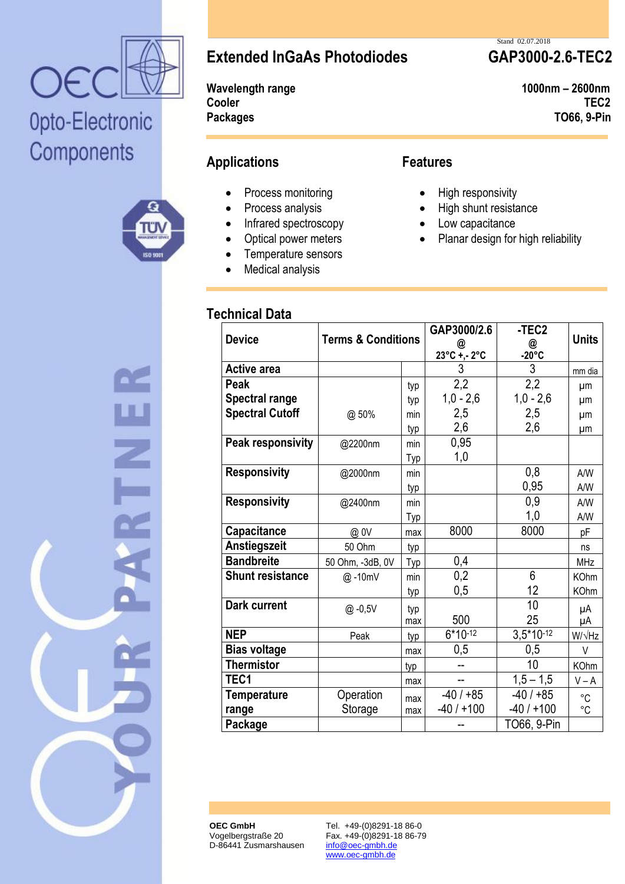

# Opto-Electronic Components





**Extended InGaAs Photodiodes GAP3000-2.6-TEC2**

**Cooler TEC2 Packages TO66, 9-Pin**

## **Applications Features**

- Process monitoring
- Process analysis
- Infrared spectroscopy
- Optical power meters
- Temperature sensors
- Medical analysis

### **Technical Data**

### Stand 02.07.2018

**Wavelength range 1000nm – 2600nm**

- High responsivity
- High shunt resistance
- Low capacitance
- Planar design for high reliability

| <b>Device</b>            | <b>Terms &amp; Conditions</b> |     | GAP3000/2.6<br>$@$<br>23°C +,- 2°C | -TEC <sub>2</sub><br>@<br>-20°C | <b>Units</b>   |
|--------------------------|-------------------------------|-----|------------------------------------|---------------------------------|----------------|
| <b>Active area</b>       |                               |     | 3                                  | 3                               | mm dia         |
| Peak                     |                               | typ | 2,2                                | 2,2                             | μm             |
| <b>Spectral range</b>    |                               | typ | $1,0 - 2,6$                        | $1,0 - 2,6$                     | μm             |
| <b>Spectral Cutoff</b>   | @ 50%                         | min | 2,5                                | 2,5                             | μm             |
|                          |                               | typ | 2,6                                | 2,6                             | μm             |
| <b>Peak responsivity</b> | @2200nm                       | min | 0,95                               |                                 |                |
|                          |                               | Typ | 1,0                                |                                 |                |
| <b>Responsivity</b>      | @2000nm                       | min |                                    | 0,8                             | A/W            |
|                          |                               | typ |                                    | 0,95                            | A/W            |
| <b>Responsivity</b>      | @2400nm                       | min |                                    | 0,9                             | A/W            |
|                          |                               | Typ |                                    | 1,0                             | A/W            |
| Capacitance              | @.0V                          | max | 8000                               | 8000                            | pF             |
| Anstiegszeit             | 50 Ohm                        | typ |                                    |                                 | ns             |
| <b>Bandbreite</b>        | 50 Ohm, -3dB, 0V              | Typ | 0,4                                |                                 | <b>MHz</b>     |
| <b>Shunt resistance</b>  | @-10mV                        | min | 0,2                                | 6                               | <b>KOhm</b>    |
|                          |                               | typ | 0,5                                | 12                              | <b>KOhm</b>    |
| <b>Dark current</b>      | @.0,5V                        | typ |                                    | 10                              | μA             |
|                          |                               | max | 500                                | 25                              | μA             |
| <b>NEP</b>               | Peak                          | typ | $6*10^{-12}$                       | $3,5*10-12$                     | W/ $\sqrt{Hz}$ |
| <b>Bias voltage</b>      |                               | max | 0,5                                | 0,5                             | $\vee$         |
| <b>Thermistor</b>        |                               | typ | --                                 | 10                              | <b>KOhm</b>    |
| TEC1                     |                               | max | --                                 | $1,5 - 1,5$                     | $V - A$        |
| <b>Temperature</b>       | Operation                     | max | $-40/+85$                          | $-40/+85$                       | °C             |
| range                    | Storage                       | max | $-40/+100$                         | $-40/1100$                      | $^{\circ}C$    |
| Package                  |                               |     |                                    | TO66, 9-Pin                     |                |

**OEC GmbH** Vogelbergstraße 20 D-86441 Zusmarshausen Tel. +49-(0)8291-18 86-0 Fax. +49-(0)8291-18 86-79 info@oec-gmbh.de www.oec-gmbh.de